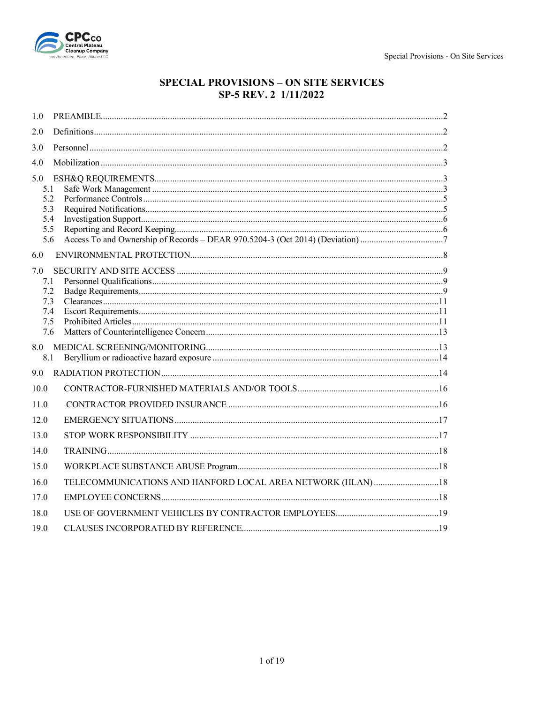

# **SPECIAL PROVISIONS - ON SITE SERVICES** SP-5 REV. 2 1/11/2022

| 1.0                                                  |  |
|------------------------------------------------------|--|
| 2.0                                                  |  |
| 3.0                                                  |  |
| 4.0                                                  |  |
| 5.0<br>5.1<br>5.2<br>5.3<br>5.4<br>5.5<br>5.6<br>6.0 |  |
| 7.0<br>7.1<br>7.2<br>7.3<br>7.4<br>7.5<br>7.6        |  |
| 8.1                                                  |  |
| 9.0                                                  |  |
| 10.0                                                 |  |
| 11.0                                                 |  |
| 12.0                                                 |  |
| 13.0                                                 |  |
| 14.0                                                 |  |
| 15.0                                                 |  |
| 16.0                                                 |  |
| 17.0                                                 |  |
| 18.0                                                 |  |
| 19.0                                                 |  |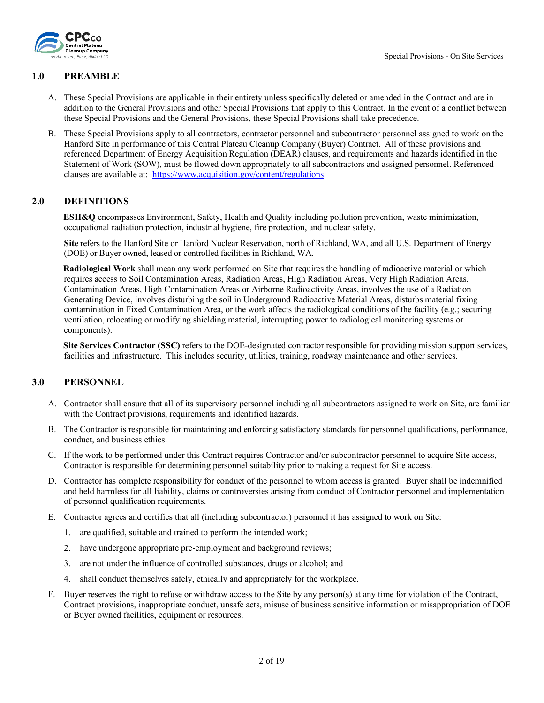

#### <span id="page-1-0"></span>**1.0 PREAMBLE**

- A. These Special Provisions are applicable in their entirety unless specifically deleted or amended in the Contract and are in addition to the General Provisions and other Special Provisions that apply to this Contract. In the event of a conflict between these Special Provisions and the General Provisions, these Special Provisions shall take precedence.
- B. These Special Provisions apply to all contractors, contractor personnel and subcontractor personnel assigned to work on the Hanford Site in performance of this Central Plateau Cleanup Company (Buyer) Contract. All of these provisions and referenced Department of Energy Acquisition Regulation (DEAR) clauses, and requirements and hazards identified in the Statement of Work (SOW), must be flowed down appropriately to all subcontractors and assigned personnel. Referenced clauses are available at:<https://www.acquisition.gov/content/regulations>

#### <span id="page-1-1"></span>**2.0 DEFINITIONS**

**ESH&Q** encompasses Environment, Safety, Health and Quality including pollution prevention, waste minimization, occupational radiation protection, industrial hygiene, fire protection, and nuclear safety.

**Site** refers to the Hanford Site or Hanford Nuclear Reservation, north of Richland, WA, and all U.S. Department of Energy (DOE) or Buyer owned, leased or controlled facilities in Richland, WA.

**Radiological Work** shall mean any work performed on Site that requires the handling of radioactive material or which requires access to Soil Contamination Areas, Radiation Areas, High Radiation Areas, Very High Radiation Areas, Contamination Areas, High Contamination Areas or Airborne Radioactivity Areas, involves the use of a Radiation Generating Device, involves disturbing the soil in Underground Radioactive Material Areas, disturbs material fixing contamination in Fixed Contamination Area, or the work affects the radiological conditions of the facility (e.g.; securing ventilation, relocating or modifying shielding material, interrupting power to radiological monitoring systems or components).

**Site Services Contractor (SSC)** refers to the DOE-designated contractor responsible for providing mission support services, facilities and infrastructure. This includes security, utilities, training, roadway maintenance and other services.

#### <span id="page-1-2"></span>**3.0 PERSONNEL**

- A. Contractor shall ensure that all of its supervisory personnel including all subcontractors assigned to work on Site, are familiar with the Contract provisions, requirements and identified hazards.
- B. The Contractor is responsible for maintaining and enforcing satisfactory standards for personnel qualifications, performance, conduct, and business ethics.
- C. If the work to be performed under this Contract requires Contractor and/or subcontractor personnel to acquire Site access, Contractor is responsible for determining personnel suitability prior to making a request for Site access.
- D. Contractor has complete responsibility for conduct of the personnel to whom access is granted. Buyer shall be indemnified and held harmless for all liability, claims or controversies arising from conduct of Contractor personnel and implementation of personnel qualification requirements.
- E. Contractor agrees and certifies that all (including subcontractor) personnel it has assigned to work on Site:
	- 1. are qualified, suitable and trained to perform the intended work;
	- 2. have undergone appropriate pre-employment and background reviews;
	- 3. are not under the influence of controlled substances, drugs or alcohol; and
	- 4. shall conduct themselves safely, ethically and appropriately for the workplace.
- F. Buyer reserves the right to refuse or withdraw access to the Site by any person(s) at any time for violation of the Contract, Contract provisions, inappropriate conduct, unsafe acts, misuse of business sensitive information or misappropriation of DOE or Buyer owned facilities, equipment or resources.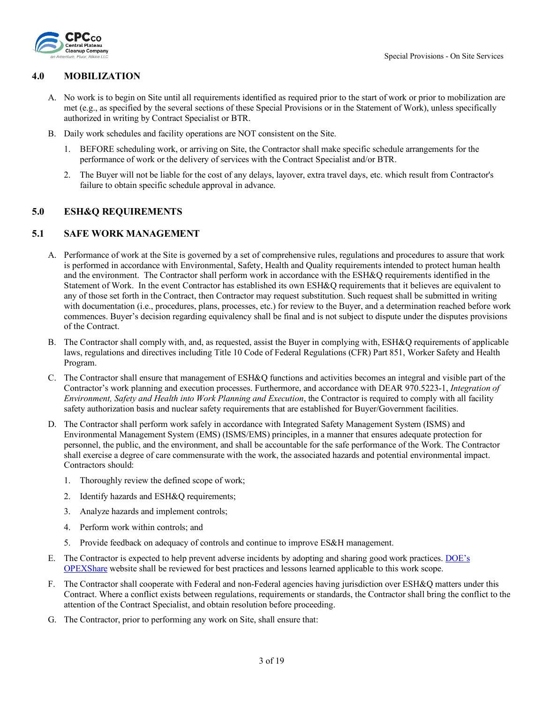

#### <span id="page-2-0"></span>**4.0 MOBILIZATION**

- A. No work is to begin on Site until all requirements identified as required prior to the start of work or prior to mobilization are met (e.g., as specified by the several sections of these Special Provisions or in the Statement of Work), unless specifically authorized in writing by Contract Specialist or BTR.
- B. Daily work schedules and facility operations are NOT consistent on the Site.
	- 1. BEFORE scheduling work, or arriving on Site, the Contractor shall make specific schedule arrangements for the performance of work or the delivery of services with the Contract Specialist and/or BTR.
	- 2. The Buyer will not be liable for the cost of any delays, layover, extra travel days, etc. which result from Contractor's failure to obtain specific schedule approval in advance.

#### <span id="page-2-1"></span>**5.0 ESH&Q REQUIREMENTS**

#### <span id="page-2-2"></span>**5.1 SAFE WORK MANAGEMENT**

- A. Performance of work at the Site is governed by a set of comprehensive rules, regulations and procedures to assure that work is performed in accordance with Environmental, Safety, Health and Quality requirements intended to protect human health and the environment. The Contractor shall perform work in accordance with the ESH&Q requirements identified in the Statement of Work. In the event Contractor has established its own ESH&Q requirements that it believes are equivalent to any of those set forth in the Contract, then Contractor may request substitution. Such request shall be submitted in writing with documentation (i.e., procedures, plans, processes, etc.) for review to the Buyer, and a determination reached before work commences. Buyer's decision regarding equivalency shall be final and is not subject to dispute under the disputes provisions of the Contract.
- B. The Contractor shall comply with, and, as requested, assist the Buyer in complying with, ESH&Q requirements of applicable laws, regulations and directives including Title 10 Code of Federal Regulations (CFR) Part 851, Worker Safety and Health Program.
- C. The Contractor shall ensure that management of ESH&Q functions and activities becomes an integral and visible part of the Contractor's work planning and execution processes. Furthermore, and accordance with DEAR 970.5223-1, *Integration of Environment, Safety and Health into Work Planning and Execution, the Contractor is required to comply with all facility* safety authorization basis and nuclear safety requirements that are established for Buyer/Government facilities.
- D. The Contractor shall perform work safely in accordance with Integrated Safety Management System (ISMS) and Environmental Management System (EMS) (ISMS/EMS) principles, in a manner that ensures adequate protection for personnel, the public, and the environment, and shall be accountable for the safe performance of the Work. The Contractor shall exercise a degree of care commensurate with the work, the associated hazards and potential environmental impact. Contractors should:
	- 1. Thoroughly review the defined scope of work;
	- 2. Identify hazards and ESH&Q requirements;
	- 3. Analyze hazards and implement controls;
	- 4. Perform work within controls; and
	- 5. Provide feedback on adequacy of controls and continue to improve ES&H management.
- E. The Contractor is expected to help prevent adverse incidents by adopting and sharing good work practices. [DOE's](https://doeopexshare.doe.gov/)  [OPEXShare](https://doeopexshare.doe.gov/) website shall be reviewed for best practices and lessons learned applicable to this work scope.
- F. The Contractor shall cooperate with Federal and non-Federal agencies having jurisdiction over ESH&Q matters under this Contract. Where a conflict exists between regulations, requirements or standards, the Contractor shall bring the conflict to the attention of the Contract Specialist, and obtain resolution before proceeding.
- G. The Contractor, prior to performing any work on Site, shall ensure that: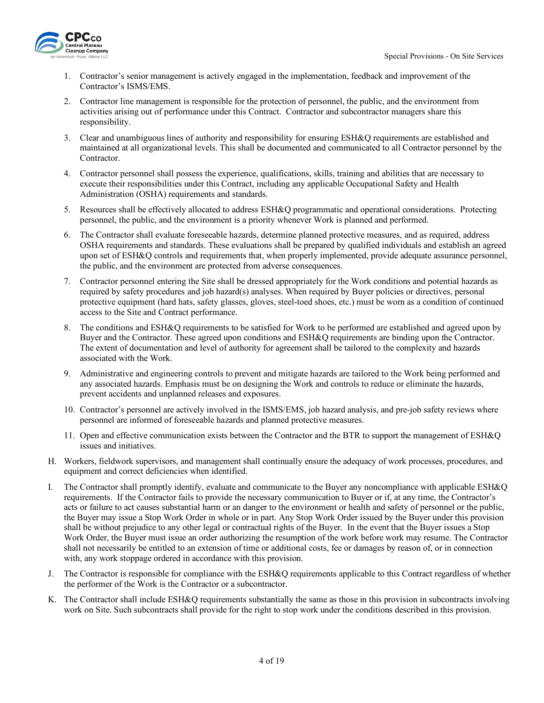

- 1. Contractor's senior management is actively engaged in the implementation, feedback and improvement of the Contractor's ISMS/EMS.
- 2. Contractor line management is responsible for the protection of personnel, the public, and the environment from activities arising out of performance under this Contract. Contractor and subcontractor managers share this responsibility.
- 3. Clear and unambiguous lines of authority and responsibility for ensuring ESH&Q requirements are established and maintained at all organizational levels. This shall be documented and communicated to all Contractor personnel by the Contractor.
- 4. Contractor personnel shall possess the experience, qualifications, skills, training and abilities that are necessary to execute their responsibilities under this Contract, including any applicable Occupational Safety and Health Administration (OSHA) requirements and standards.
- 5. Resources shall be effectively allocated to address ESH&Q programmatic and operational considerations. Protecting personnel, the public, and the environment is a priority whenever Work is planned and performed.
- 6. The Contractor shall evaluate foreseeable hazards, determine planned protective measures, and as required, address OSHA requirements and standards. These evaluations shall be prepared by qualified individuals and establish an agreed upon set of ESH&Q controls and requirements that, when properly implemented, provide adequate assurance personnel, the public, and the environment are protected from adverse consequences.
- 7. Contractor personnel entering the Site shall be dressed appropriately for the Work conditions and potential hazards as required by safety procedures and job hazard(s) analyses. When required by Buyer policies or directives, personal protective equipment (hard hats, safety glasses, gloves, steel-toed shoes, etc.) must be worn as a condition of continued access to the Site and Contract performance.
- 8. The conditions and ESH&Q requirements to be satisfied for Work to be performed are established and agreed upon by Buyer and the Contractor. These agreed upon conditions and ESH&Q requirements are binding upon the Contractor. The extent of documentation and level of authority for agreement shall be tailored to the complexity and hazards associated with the Work.
- 9. Administrative and engineering controls to prevent and mitigate hazards are tailored to the Work being performed and any associated hazards. Emphasis must be on designing the Work and controls to reduce or eliminate the hazards, prevent accidents and unplanned releases and exposures.
- 10. Contractor's personnel are actively involved in the ISMS/EMS, job hazard analysis, and pre-job safety reviews where personnel are informed of foreseeable hazards and planned protective measures.
- 11. Open and effective communication exists between the Contractor and the BTR to support the management of ESH&Q issues and initiatives.
- H. Workers, fieldwork supervisors, and management shall continually ensure the adequacy of work processes, procedures, and equipment and correct deficiencies when identified.
- I. The Contractor shall promptly identify, evaluate and communicate to the Buyer any noncompliance with applicable ESH&Q requirements. If the Contractor fails to provide the necessary communication to Buyer or if, at any time, the Contractor's acts or failure to act causes substantial harm or an danger to the environment or health and safety of personnel or the public, the Buyer may issue a Stop Work Order in whole or in part. Any Stop Work Order issued by the Buyer under this provision shall be without prejudice to any other legal or contractual rights of the Buyer. In the event that the Buyer issues a Stop Work Order, the Buyer must issue an order authorizing the resumption of the work before work may resume. The Contractor shall not necessarily be entitled to an extension of time or additional costs, fee or damages by reason of, or in connection with, any work stoppage ordered in accordance with this provision.
- J. The Contractor is responsible for compliance with the ESH&Q requirements applicable to this Contract regardless of whether the performer of the Work is the Contractor or a subcontractor.
- K. The Contractor shall include ESH&Q requirements substantially the same as those in this provision in subcontracts involving work on Site. Such subcontracts shall provide for the right to stop work under the conditions described in this provision.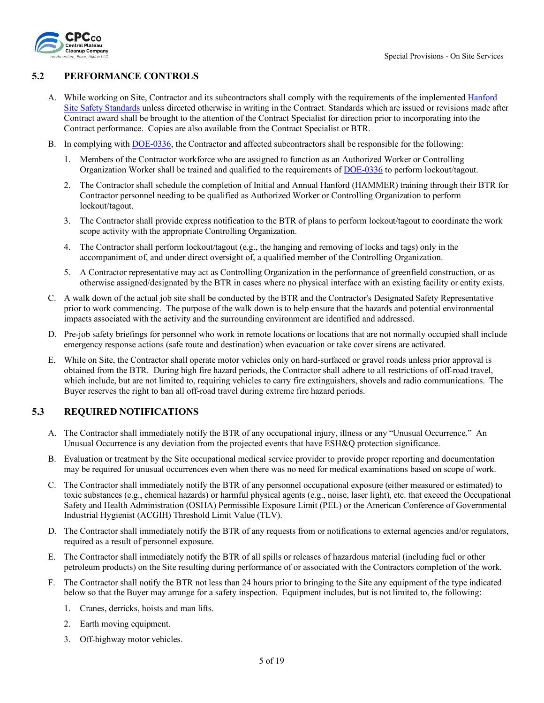

### <span id="page-4-0"></span>**5.2 PERFORMANCE CONTROLS**

- A. While working on Site, Contractor and its subcontractors shall comply with the requirements of the implemented Hanford Site [Safety Standards](https://www.hanford.gov/page.cfm/SiteSafetyStandards) unless directed otherwise in writing in the Contract. Standards which are issued or revisions made after Contract award shall be brought to the attention of the Contract Specialist for direction prior to incorporating into the Contract performance. Copies are also available from the Contract Specialist or BTR.
- B. In complying with **DOE-0336**, the Contractor and affected subcontractors shall be responsible for the following:
	- 1. Members of the Contractor workforce who are assigned to function as an Authorized Worker or Controlling Organization Worker shall be trained and qualified to the requirements of [DOE-0336](http://www.hanford.gov/files.cfm/DOE-0336-2B_Public_8-29-16_Final.pdf) to perform lockout/tagout.
	- 2. The Contractor shall schedule the completion of Initial and Annual Hanford (HAMMER) training through their BTR for Contractor personnel needing to be qualified as Authorized Worker or Controlling Organization to perform lockout/tagout.
	- 3. The Contractor shall provide express notification to the BTR of plans to perform lockout/tagout to coordinate the work scope activity with the appropriate Controlling Organization.
	- 4. The Contractor shall perform lockout/tagout (e.g., the hanging and removing of locks and tags) only in the accompaniment of, and under direct oversight of, a qualified member of the Controlling Organization.
	- 5. A Contractor representative may act as Controlling Organization in the performance of greenfield construction, or as otherwise assigned/designated by the BTR in cases where no physical interface with an existing facility or entity exists.
- C. A walk down of the actual job site shall be conducted by the BTR and the Contractor's Designated Safety Representative prior to work commencing. The purpose of the walk down is to help ensure that the hazards and potential environmental impacts associated with the activity and the surrounding environment are identified and addressed.
- D. Pre-job safety briefings for personnel who work in remote locations or locations that are not normally occupied shall include emergency response actions (safe route and destination) when evacuation or take cover sirens are activated.
- E. While on Site, the Contractor shall operate motor vehicles only on hard-surfaced or gravel roads unless prior approval is obtained from the BTR. During high fire hazard periods, the Contractor shall adhere to all restrictions of off-road travel, which include, but are not limited to, requiring vehicles to carry fire extinguishers, shovels and radio communications. The Buyer reserves the right to ban all off-road travel during extreme fire hazard periods.

### <span id="page-4-1"></span>**5.3 REQUIRED NOTIFICATIONS**

- A. The Contractor shall immediately notify the BTR of any occupational injury, illness or any "Unusual Occurrence." An Unusual Occurrence is any deviation from the projected events that have ESH&Q protection significance.
- B. Evaluation or treatment by the Site occupational medical service provider to provide proper reporting and documentation may be required for unusual occurrences even when there was no need for medical examinations based on scope of work.
- C. The Contractor shall immediately notify the BTR of any personnel occupational exposure (either measured or estimated) to toxic substances (e.g., chemical hazards) or harmful physical agents (e.g., noise, laser light), etc. that exceed the Occupational Safety and Health Administration (OSHA) Permissible Exposure Limit (PEL) or the American Conference of Governmental Industrial Hygienist (ACGIH) Threshold Limit Value (TLV).
- D. The Contractor shall immediately notify the BTR of any requests from or notifications to external agencies and/or regulators, required as a result of personnel exposure.
- E. The Contractor shall immediately notify the BTR of all spills or releases of hazardous material (including fuel or other petroleum products) on the Site resulting during performance of or associated with the Contractors completion of the work.
- F. The Contractor shall notify the BTR not less than 24 hours prior to bringing to the Site any equipment of the type indicated below so that the Buyer may arrange for a safety inspection. Equipment includes, but is not limited to, the following:
	- 1. Cranes, derricks, hoists and man lifts.
	- 2. Earth moving equipment.
	- 3. Off-highway motor vehicles.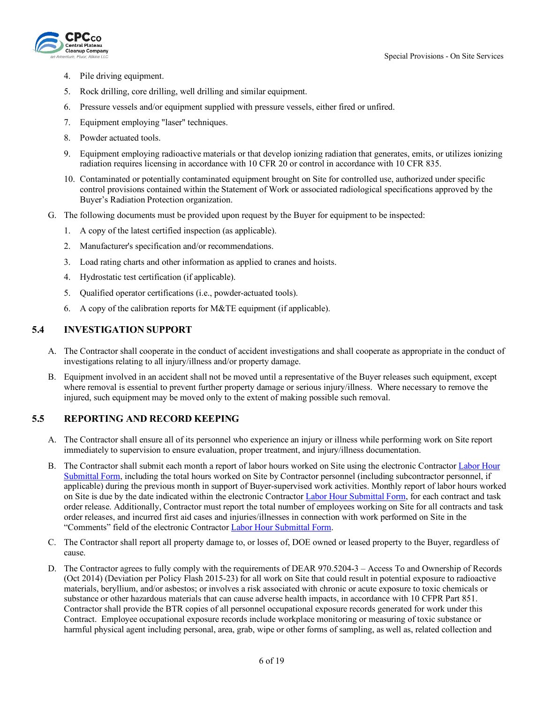

- 4. Pile driving equipment.
- 5. Rock drilling, core drilling, well drilling and similar equipment.
- 6. Pressure vessels and/or equipment supplied with pressure vessels, either fired or unfired.
- 7. Equipment employing "laser" techniques.
- 8. Powder actuated tools.
- 9. Equipment employing radioactive materials or that develop ionizing radiation that generates, emits, or utilizes ionizing radiation requires licensing in accordance with 10 CFR 20 or control in accordance with 10 CFR 835.
- 10. Contaminated or potentially contaminated equipment brought on Site for controlled use, authorized under specific control provisions contained within the Statement of Work or associated radiological specifications approved by the Buyer's Radiation Protection organization.
- G. The following documents must be provided upon request by the Buyer for equipment to be inspected:
	- 1. A copy of the latest certified inspection (as applicable).
	- 2. Manufacturer's specification and/or recommendations.
	- 3. Load rating charts and other information as applied to cranes and hoists.
	- 4. Hydrostatic test certification (if applicable).
	- 5. Qualified operator certifications (i.e., powder-actuated tools).
	- 6. A copy of the calibration reports for M&TE equipment (if applicable).

## <span id="page-5-0"></span>**5.4 INVESTIGATION SUPPORT**

- A. The Contractor shall cooperate in the conduct of accident investigations and shall cooperate as appropriate in the conduct of investigations relating to all injury/illness and/or property damage.
- B. Equipment involved in an accident shall not be moved until a representative of the Buyer releases such equipment, except where removal is essential to prevent further property damage or serious injury/illness. Where necessary to remove the injured, such equipment may be moved only to the extent of making possible such removal.

### <span id="page-5-1"></span>**5.5 REPORTING AND RECORD KEEPING**

- A. The Contractor shall ensure all of its personnel who experience an injury or illness while performing work on Site report immediately to supervision to ensure evaluation, proper treatment, and injury/illness documentation.
- B. The Contractor shall submit each month a report of labor hours worked on Site using the electronic Contractor [Labor Hour](https://cpcco.hanford.gov/page.cfm/SubmittalsFormsDocs)  [Submittal Form,](https://cpcco.hanford.gov/page.cfm/SubmittalsFormsDocs) including the total hours worked on Site by Contractor personnel (including subcontractor personnel, if applicable) during the previous month in support of Buyer-supervised work activities. Monthly report of labor hours worked on Site is due by the date indicated within the electronic Contractor [Labor Hour Submittal Form,](https://cpcco.hanford.gov/page.cfm/SubmittalsFormsDocs) for each contract and task order release. Additionally, Contractor must report the total number of employees working on Site for all contracts and task order releases, and incurred first aid cases and injuries/illnesses in connection with work performed on Site in the "Comments" field of the electronic Contractor [Labor Hour Submittal Form.](https://cpcco.hanford.gov/page.cfm/SubmittalsFormsDocs)
- C. The Contractor shall report all property damage to, or losses of, DOE owned or leased property to the Buyer, regardless of cause.
- D. The Contractor agrees to fully comply with the requirements of DEAR 970.5204-3 Access To and Ownership of Records (Oct 2014) (Deviation per Policy Flash 2015-23) for all work on Site that could result in potential exposure to radioactive materials, beryllium, and/or asbestos; or involves a risk associated with chronic or acute exposure to toxic chemicals or substance or other hazardous materials that can cause adverse health impacts, in accordance with 10 CFPR Part 851. Contractor shall provide the BTR copies of all personnel occupational exposure records generated for work under this Contract. Employee occupational exposure records include workplace monitoring or measuring of toxic substance or harmful physical agent including personal, area, grab, wipe or other forms of sampling, as well as, related collection and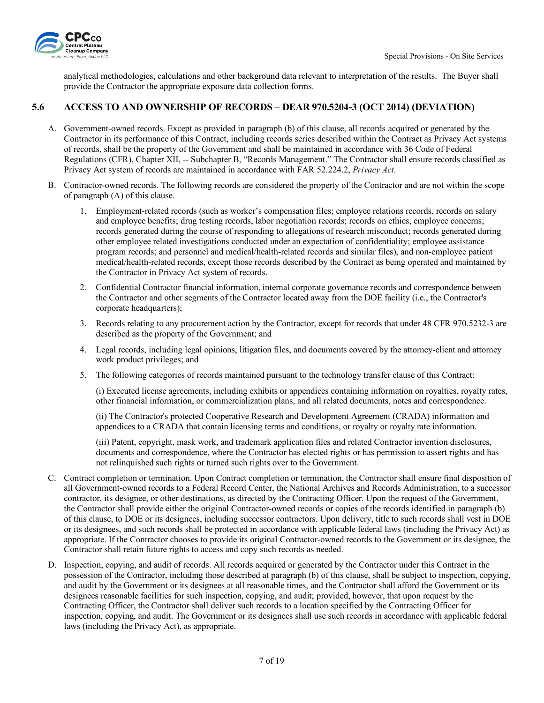

analytical methodologies, calculations and other background data relevant to interpretation of the results. The Buyer shall provide the Contractor the appropriate exposure data collection forms.

### <span id="page-6-0"></span>**5.6 ACCESS TO AND OWNERSHIP OF RECORDS – DEAR 970.5204-3 (OCT 2014) (DEVIATION)**

- A. Government-owned records. Except as provided in paragraph (b) of this clause, all records acquired or generated by the Contractor in its performance of this Contract, including records series described within the Contract as Privacy Act systems of records, shall be the property of the Government and shall be maintained in accordance with 36 Code of Federal Regulations (CFR), Chapter XII, -- Subchapter B, "Records Management." The Contractor shall ensure records classified as Privacy Act system of records are maintained in accordance with FAR 52.224.2, *Privacy Act*.
- B. Contractor-owned records. The following records are considered the property of the Contractor and are not within the scope of paragraph (A) of this clause.
	- 1. Employment-related records (such as worker's compensation files; employee relations records, records on salary and employee benefits; drug testing records, labor negotiation records; records on ethics, employee concerns; records generated during the course of responding to allegations of research misconduct; records generated during other employee related investigations conducted under an expectation of confidentiality; employee assistance program records; and personnel and medical/health-related records and similar files), and non-employee patient medical/health-related records, except those records described by the Contract as being operated and maintained by the Contractor in Privacy Act system of records.
	- 2. Confidential Contractor financial information, internal corporate governance records and correspondence between the Contractor and other segments of the Contractor located away from the DOE facility (i.e., the Contractor's corporate headquarters);
	- 3. Records relating to any procurement action by the Contractor, except for records that under 48 CFR 970.5232-3 are described as the property of the Government; and
	- 4. Legal records, including legal opinions, litigation files, and documents covered by the attorney-client and attorney work product privileges; and
	- 5. The following categories of records maintained pursuant to the technology transfer clause of this Contract:

(i) Executed license agreements, including exhibits or appendices containing information on royalties, royalty rates, other financial information, or commercialization plans, and all related documents, notes and correspondence.

(ii) The Contractor's protected Cooperative Research and Development Agreement (CRADA) information and appendices to a CRADA that contain licensing terms and conditions, or royalty or royalty rate information.

(iii) Patent, copyright, mask work, and trademark application files and related Contractor invention disclosures, documents and correspondence, where the Contractor has elected rights or has permission to assert rights and has not relinquished such rights or turned such rights over to the Government.

- C. Contract completion or termination. Upon Contract completion or termination, the Contractor shall ensure final disposition of all Government-owned records to a Federal Record Center, the National Archives and Records Administration, to a successor contractor, its designee, or other destinations, as directed by the Contracting Officer. Upon the request of the Government, the Contractor shall provide either the original Contractor-owned records or copies of the records identified in paragraph (b) of this clause, to DOE or its designees, including successor contractors. Upon delivery, title to such records shall vest in DOE or its designees, and such records shall be protected in accordance with applicable federal laws (including the Privacy Act) as appropriate. If the Contractor chooses to provide its original Contractor-owned records to the Government or its designee, the Contractor shall retain future rights to access and copy such records as needed.
- D. Inspection, copying, and audit of records. All records acquired or generated by the Contractor under this Contract in the possession of the Contractor, including those described at paragraph (b) of this clause, shall be subject to inspection, copying, and audit by the Government or its designees at all reasonable times, and the Contractor shall afford the Government or its designees reasonable facilities for such inspection, copying, and audit; provided, however, that upon request by the Contracting Officer, the Contractor shall deliver such records to a location specified by the Contracting Officer for inspection, copying, and audit. The Government or its designees shall use such records in accordance with applicable federal laws (including the Privacy Act), as appropriate.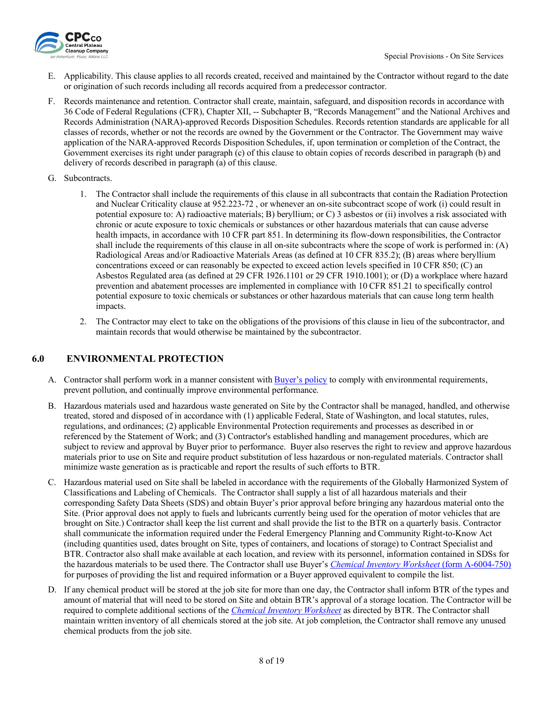

- E. Applicability. This clause applies to all records created, received and maintained by the Contractor without regard to the date or origination of such records including all records acquired from a predecessor contractor.
- F. Records maintenance and retention. Contractor shall create, maintain, safeguard, and disposition records in accordance with 36 Code of Federal Regulations (CFR), Chapter XII, -- Subchapter B, "Records Management" and the National Archives and Records Administration (NARA)-approved Records Disposition Schedules. Records retention standards are applicable for all classes of records, whether or not the records are owned by the Government or the Contractor. The Government may waive application of the NARA-approved Records Disposition Schedules, if, upon termination or completion of the Contract, the Government exercises its right under paragraph (c) of this clause to obtain copies of records described in paragraph (b) and delivery of records described in paragraph (a) of this clause.
- G. Subcontracts.
	- 1. The Contractor shall include the requirements of this clause in all subcontracts that contain the Radiation Protection and Nuclear Criticality clause at 952.223-72 , or whenever an on-site subcontract scope of work (i) could result in potential exposure to: A) radioactive materials; B) beryllium; or C) 3 asbestos or (ii) involves a risk associated with chronic or acute exposure to toxic chemicals or substances or other hazardous materials that can cause adverse health impacts, in accordance with 10 CFR part 851. In determining its flow-down responsibilities, the Contractor shall include the requirements of this clause in all on-site subcontracts where the scope of work is performed in: (A) Radiological Areas and/or Radioactive Materials Areas (as defined at 10 CFR 835.2); (B) areas where beryllium concentrations exceed or can reasonably be expected to exceed action levels specified in 10 CFR 850; (C) an Asbestos Regulated area (as defined at 29 CFR 1926.1101 or 29 CFR 1910.1001); or (D) a workplace where hazard prevention and abatement processes are implemented in compliance with 10 CFR 851.21 to specifically control potential exposure to toxic chemicals or substances or other hazardous materials that can cause long term health impacts.
	- 2. The Contractor may elect to take on the obligations of the provisions of this clause in lieu of the subcontractor, and maintain records that would otherwise be maintained by the subcontractor.

## <span id="page-7-0"></span>**6.0 ENVIRONMENTAL PROTECTION**

- A. Contractor shall perform work in a manner consistent with [Buyer's policy](https://cpcco.hanford.gov/page.cfm/EnvironmentalPolicy) to comply with environmental requirements, prevent pollution, and continually improve environmental performance.
- B. Hazardous materials used and hazardous waste generated on Site by the Contractor shall be managed, handled, and otherwise treated, stored and disposed of in accordance with (1) applicable Federal, State of Washington, and local statutes, rules, regulations, and ordinances; (2) applicable Environmental Protection requirements and processes as described in or referenced by the Statement of Work; and (3) Contractor's established handling and management procedures, which are subject to review and approval by Buyer prior to performance. Buyer also reserves the right to review and approve hazardous materials prior to use on Site and require product substitution of less hazardous or non-regulated materials. Contractor shall minimize waste generation as is practicable and report the results of such efforts to BTR.
- C. Hazardous material used on Site shall be labeled in accordance with the requirements of the Globally Harmonized System of Classifications and Labeling of Chemicals. The Contractor shall supply a list of all hazardous materials and their corresponding Safety Data Sheets (SDS) and obtain Buyer's prior approval before bringing any hazardous material onto the Site. (Prior approval does not apply to fuels and lubricants currently being used for the operation of motor vehicles that are brought on Site.) Contractor shall keep the list current and shall provide the list to the BTR on a quarterly basis. Contractor shall communicate the information required under the Federal Emergency Planning and Community Right-to-Know Act (including quantities used, dates brought on Site, types of containers, and locations of storage) to Contract Specialist and BTR. Contractor also shall make available at each location, and review with its personnel, information contained in SDSs for the hazardous materials to be used there. The Contractor shall use Buyer's *[Chemical Inventory Worksheet](https://cpcco.hanford.gov/page.cfm/SafetyReferenceDocuments)* (form A-6004-750) for purposes of providing the list and required information or a Buyer approved equivalent to compile the list.
- D. If any chemical product will be stored at the job site for more than one day, the Contractor shall inform BTR of the types and amount of material that will need to be stored on Site and obtain BTR's approval of a storage location. The Contractor will be required to complete additional sections of the *[Chemical Inventory Worksheet](https://cpcco.hanford.gov/page.cfm/SafetyReferenceDocuments)* as directed by BTR. The Contractor shall maintain written inventory of all chemicals stored at the job site. At job completion, the Contractor shall remove any unused chemical products from the job site.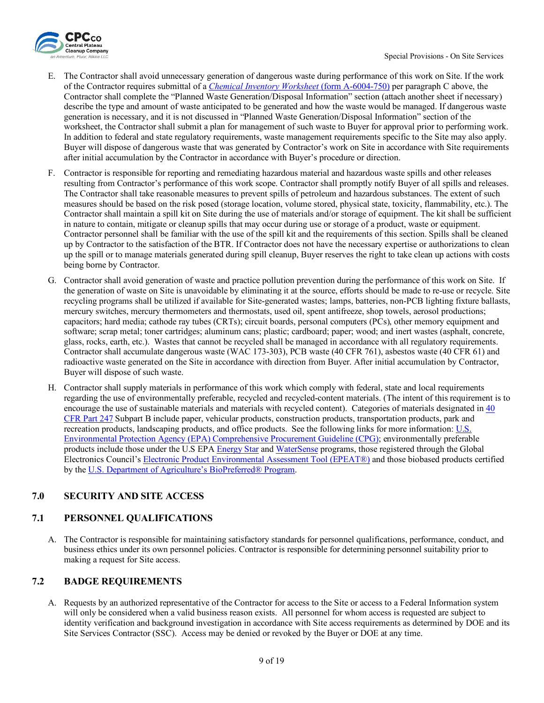

- E. The Contractor shall avoid unnecessary generation of dangerous waste during performance of this work on Site. If the work of the Contractor requires submittal of a *[Chemical Inventory Worksheet](https://cpcco.hanford.gov/page.cfm/SafetyReferenceDocuments)* (form A-6004-750) per paragraph C above, the Contractor shall complete the "Planned Waste Generation/Disposal Information" section (attach another sheet if necessary) describe the type and amount of waste anticipated to be generated and how the waste would be managed. If dangerous waste generation is necessary, and it is not discussed in "Planned Waste Generation/Disposal Information" section of the worksheet, the Contractor shall submit a plan for management of such waste to Buyer for approval prior to performing work. In addition to federal and state regulatory requirements, waste management requirements specific to the Site may also apply. Buyer will dispose of dangerous waste that was generated by Contractor's work on Site in accordance with Site requirements after initial accumulation by the Contractor in accordance with Buyer's procedure or direction.
- F. Contractor is responsible for reporting and remediating hazardous material and hazardous waste spills and other releases resulting from Contractor's performance of this work scope. Contractor shall promptly notify Buyer of all spills and releases. The Contractor shall take reasonable measures to prevent spills of petroleum and hazardous substances. The extent of such measures should be based on the risk posed (storage location, volume stored, physical state, toxicity, flammability, etc.). The Contractor shall maintain a spill kit on Site during the use of materials and/or storage of equipment. The kit shall be sufficient in nature to contain, mitigate or cleanup spills that may occur during use or storage of a product, waste or equipment. Contractor personnel shall be familiar with the use of the spill kit and the requirements of this section. Spills shall be cleaned up by Contractor to the satisfaction of the BTR. If Contractor does not have the necessary expertise or authorizations to clean up the spill or to manage materials generated during spill cleanup, Buyer reserves the right to take clean up actions with costs being borne by Contractor.
- G. Contractor shall avoid generation of waste and practice pollution prevention during the performance of this work on Site. If the generation of waste on Site is unavoidable by eliminating it at the source, efforts should be made to re-use or recycle. Site recycling programs shall be utilized if available for Site-generated wastes; lamps, batteries, non-PCB lighting fixture ballasts, mercury switches, mercury thermometers and thermostats, used oil, spent antifreeze, shop towels, aerosol productions; capacitors; hard media; cathode ray tubes (CRTs); circuit boards, personal computers (PCs), other memory equipment and software; scrap metal; toner cartridges; aluminum cans; plastic; cardboard; paper; wood; and inert wastes (asphalt, concrete, glass, rocks, earth, etc.). Wastes that cannot be recycled shall be managed in accordance with all regulatory requirements. Contractor shall accumulate dangerous waste (WAC 173-303), PCB waste (40 CFR 761), asbestos waste (40 CFR 61) and radioactive waste generated on the Site in accordance with direction from Buyer. After initial accumulation by Contractor, Buyer will dispose of such waste.
- H. Contractor shall supply materials in performance of this work which comply with federal, state and local requirements regarding the use of environmentally preferable, recycled and recycled-content materials. (The intent of this requirement is to encourage the use of sustainable materials and materials with recycled content). Categories of materials designated in [40](https://www.ecfr.gov/current/title-40/chapter-I/subchapter-I/part-247)  [CFR Part 247](https://www.ecfr.gov/current/title-40/chapter-I/subchapter-I/part-247) Subpart B include paper, vehicular products, construction products, transportation products, park and recreation products, landscaping products, and office products. See the following links for more information: [U.S.](https://www.epa.gov/smm/comprehensive-procurement-guideline-cpg-program) Environmental Protection Agency (EPA) [Comprehensive Procurement Guideline \(CPG\);](https://www.epa.gov/smm/comprehensive-procurement-guideline-cpg-program) environmentally preferable products include those under the U.S EP[A Energy Star](https://www.energystar.gov/) an[d WaterSense](https://www.epa.gov/watersense) programs, those registered through the Global Electronics Council's [Electronic Product Environmental Assessment Tool \(EPEAT®\)](https://www.epa.gov/greenerproducts/electronic-product-environmental-assessment-tool-epeat) and those biobased products certified by the [U.S. Department of Agriculture's BioPreferred® Program.](https://www.biopreferred.gov/BioPreferred/faces/Welcome.xhtml)

# <span id="page-8-0"></span>**7.0 SECURITY AND SITE ACCESS**

## <span id="page-8-1"></span>**7.1 PERSONNEL QUALIFICATIONS**

A. The Contractor is responsible for maintaining satisfactory standards for personnel qualifications, performance, conduct, and business ethics under its own personnel policies. Contractor is responsible for determining personnel suitability prior to making a request for Site access.

## <span id="page-8-2"></span>**7.2 BADGE REQUIREMENTS**

A. Requests by an authorized representative of the Contractor for access to the Site or access to a Federal Information system will only be considered when a valid business reason exists. All personnel for whom access is requested are subject to identity verification and background investigation in accordance with Site access requirements as determined by DOE and its Site Services Contractor (SSC). Access may be denied or revoked by the Buyer or DOE at any time.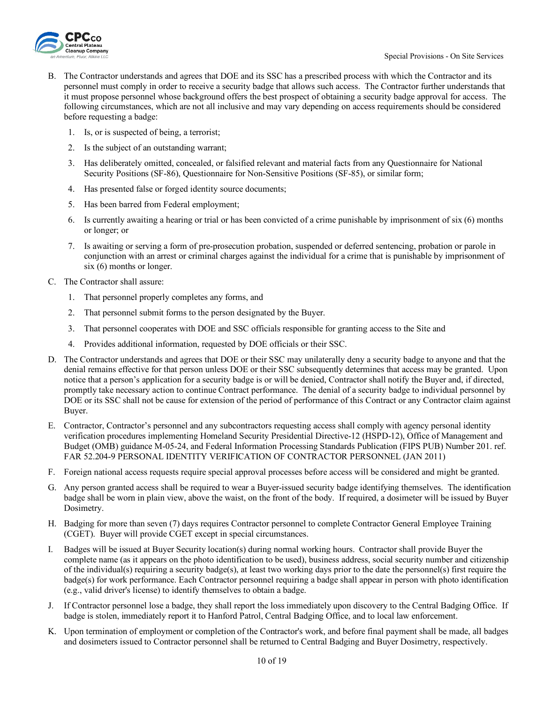

- B. The Contractor understands and agrees that DOE and its SSC has a prescribed process with which the Contractor and its personnel must comply in order to receive a security badge that allows such access. The Contractor further understands that it must propose personnel whose background offers the best prospect of obtaining a security badge approval for access. The following circumstances, which are not all inclusive and may vary depending on access requirements should be considered before requesting a badge:
	- 1. Is, or is suspected of being, a terrorist;
	- 2. Is the subject of an outstanding warrant;
	- 3. Has deliberately omitted, concealed, or falsified relevant and material facts from any Questionnaire for National Security Positions (SF-86), Questionnaire for Non-Sensitive Positions (SF-85), or similar form;
	- 4. Has presented false or forged identity source documents;
	- 5. Has been barred from Federal employment;
	- 6. Is currently awaiting a hearing or trial or has been convicted of a crime punishable by imprisonment of six (6) months or longer; or
	- 7. Is awaiting or serving a form of pre-prosecution probation, suspended or deferred sentencing, probation or parole in conjunction with an arrest or criminal charges against the individual for a crime that is punishable by imprisonment of six (6) months or longer.
- C. The Contractor shall assure:
	- 1. That personnel properly completes any forms, and
	- 2. That personnel submit forms to the person designated by the Buyer.
	- 3. That personnel cooperates with DOE and SSC officials responsible for granting access to the Site and
	- 4. Provides additional information, requested by DOE officials or their SSC.
- D. The Contractor understands and agrees that DOE or their SSC may unilaterally deny a security badge to anyone and that the denial remains effective for that person unless DOE or their SSC subsequently determines that access may be granted. Upon notice that a person's application for a security badge is or will be denied, Contractor shall notify the Buyer and, if directed, promptly take necessary action to continue Contract performance. The denial of a security badge to individual personnel by DOE or its SSC shall not be cause for extension of the period of performance of this Contract or any Contractor claim against Buyer.
- E. Contractor, Contractor's personnel and any subcontractors requesting access shall comply with agency personal identity verification procedures implementing Homeland Security Presidential Directive-12 (HSPD-12), Office of Management and Budget (OMB) guidance M-05-24, and Federal Information Processing Standards Publication (FIPS PUB) Number 201. ref. FAR 52.204-9 PERSONAL IDENTITY VERIFICATION OF CONTRACTOR PERSONNEL (JAN 2011)
- F. Foreign national access requests require special approval processes before access will be considered and might be granted.
- G. Any person granted access shall be required to wear a Buyer-issued security badge identifying themselves. The identification badge shall be worn in plain view, above the waist, on the front of the body. If required, a dosimeter will be issued by Buyer Dosimetry.
- H. Badging for more than seven (7) days requires Contractor personnel to complete Contractor General Employee Training (CGET). Buyer will provide CGET except in special circumstances.
- I. Badges will be issued at Buyer Security location(s) during normal working hours. Contractor shall provide Buyer the complete name (as it appears on the photo identification to be used), business address, social security number and citizenship of the individual(s) requiring a security badge(s), at least two working days prior to the date the personnel(s) first require the badge(s) for work performance. Each Contractor personnel requiring a badge shall appear in person with photo identification (e.g., valid driver's license) to identify themselves to obtain a badge.
- J. If Contractor personnel lose a badge, they shall report the loss immediately upon discovery to the Central Badging Office. If badge is stolen, immediately report it to Hanford Patrol, Central Badging Office, and to local law enforcement.
- K. Upon termination of employment or completion of the Contractor's work, and before final payment shall be made, all badges and dosimeters issued to Contractor personnel shall be returned to Central Badging and Buyer Dosimetry, respectively.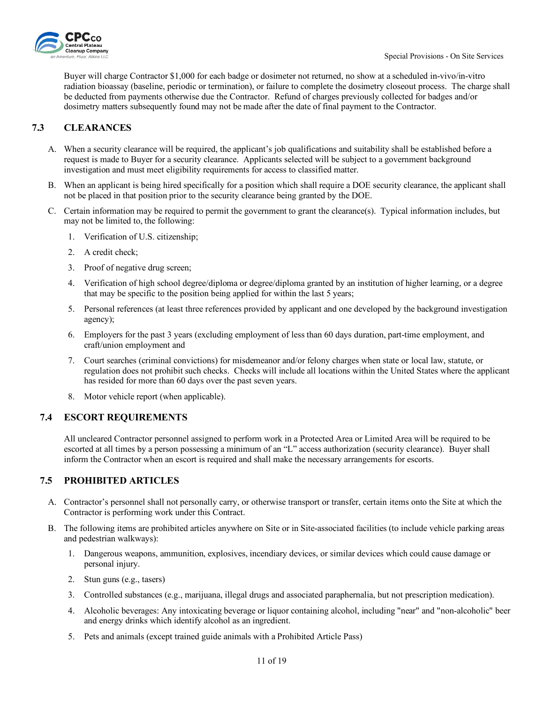

Buyer will charge Contractor \$1,000 for each badge or dosimeter not returned, no show at a scheduled in-vivo/in-vitro radiation bioassay (baseline, periodic or termination), or failure to complete the dosimetry closeout process. The charge shall be deducted from payments otherwise due the Contractor. Refund of charges previously collected for badges and/or dosimetry matters subsequently found may not be made after the date of final payment to the Contractor.

## <span id="page-10-0"></span>**7.3 CLEARANCES**

- A. When a security clearance will be required, the applicant's job qualifications and suitability shall be established before a request is made to Buyer for a security clearance. Applicants selected will be subject to a government background investigation and must meet eligibility requirements for access to classified matter.
- B. When an applicant is being hired specifically for a position which shall require a DOE security clearance, the applicant shall not be placed in that position prior to the security clearance being granted by the DOE.
- C. Certain information may be required to permit the government to grant the clearance(s). Typical information includes, but may not be limited to, the following:
	- 1. Verification of U.S. citizenship;
	- 2. A credit check;
	- 3. Proof of negative drug screen;
	- 4. Verification of high school degree/diploma or degree/diploma granted by an institution of higher learning, or a degree that may be specific to the position being applied for within the last 5 years;
	- 5. Personal references (at least three references provided by applicant and one developed by the background investigation agency);
	- 6. Employers for the past 3 years (excluding employment of less than 60 days duration, part-time employment, and craft/union employment and
	- 7. Court searches (criminal convictions) for misdemeanor and/or felony charges when state or local law, statute, or regulation does not prohibit such checks. Checks will include all locations within the United States where the applicant has resided for more than 60 days over the past seven years.
	- 8. Motor vehicle report (when applicable).

## <span id="page-10-1"></span>**7.4 ESCORT REQUIREMENTS**

All uncleared Contractor personnel assigned to perform work in a Protected Area or Limited Area will be required to be escorted at all times by a person possessing a minimum of an "L" access authorization (security clearance). Buyer shall inform the Contractor when an escort is required and shall make the necessary arrangements for escorts.

## <span id="page-10-2"></span>**7.5 PROHIBITED ARTICLES**

- A. Contractor's personnel shall not personally carry, or otherwise transport or transfer, certain items onto the Site at which the Contractor is performing work under this Contract.
- B. The following items are prohibited articles anywhere on Site or in Site-associated facilities (to include vehicle parking areas and pedestrian walkways):
	- 1. Dangerous weapons, ammunition, explosives, incendiary devices, or similar devices which could cause damage or personal injury.
	- 2. Stun guns (e.g., tasers)
	- 3. Controlled substances (e.g., marijuana, illegal drugs and associated paraphernalia, but not prescription medication).
	- 4. Alcoholic beverages: Any intoxicating beverage or liquor containing alcohol, including "near" and "non-alcoholic" beer and energy drinks which identify alcohol as an ingredient.
	- 5. Pets and animals (except trained guide animals with a Prohibited Article Pass)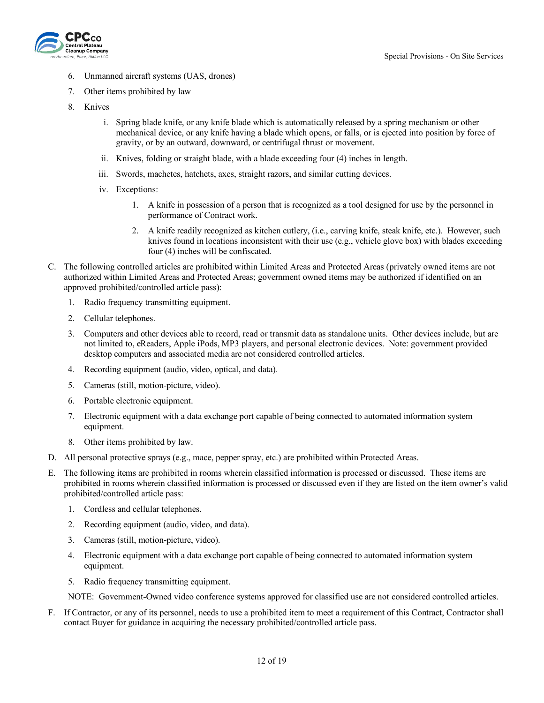

- 6. Unmanned aircraft systems (UAS, drones)
- 7. Other items prohibited by law
- 8. Knives
	- i. Spring blade knife, or any knife blade which is automatically released by a spring mechanism or other mechanical device, or any knife having a blade which opens, or falls, or is ejected into position by force of gravity, or by an outward, downward, or centrifugal thrust or movement.
	- ii. Knives, folding or straight blade, with a blade exceeding four (4) inches in length.
	- iii. Swords, machetes, hatchets, axes, straight razors, and similar cutting devices.
	- iv. Exceptions:
		- 1. A knife in possession of a person that is recognized as a tool designed for use by the personnel in performance of Contract work.
		- 2. A knife readily recognized as kitchen cutlery, (i.e., carving knife, steak knife, etc.). However, such knives found in locations inconsistent with their use (e.g., vehicle glove box) with blades exceeding four (4) inches will be confiscated.
- C. The following controlled articles are prohibited within Limited Areas and Protected Areas (privately owned items are not authorized within Limited Areas and Protected Areas; government owned items may be authorized if identified on an approved prohibited/controlled article pass):
	- 1. Radio frequency transmitting equipment.
	- 2. Cellular telephones.
	- 3. Computers and other devices able to record, read or transmit data as standalone units. Other devices include, but are not limited to, eReaders, Apple iPods, MP3 players, and personal electronic devices. Note: government provided desktop computers and associated media are not considered controlled articles.
	- 4. Recording equipment (audio, video, optical, and data).
	- 5. Cameras (still, motion-picture, video).
	- 6. Portable electronic equipment.
	- 7. Electronic equipment with a data exchange port capable of being connected to automated information system equipment.
	- 8. Other items prohibited by law.
- D. All personal protective sprays (e.g., mace, pepper spray, etc.) are prohibited within Protected Areas.
- E. The following items are prohibited in rooms wherein classified information is processed or discussed. These items are prohibited in rooms wherein classified information is processed or discussed even if they are listed on the item owner's valid prohibited/controlled article pass:
	- 1. Cordless and cellular telephones.
	- 2. Recording equipment (audio, video, and data).
	- 3. Cameras (still, motion-picture, video).
	- 4. Electronic equipment with a data exchange port capable of being connected to automated information system equipment.
	- 5. Radio frequency transmitting equipment.

NOTE: Government-Owned video conference systems approved for classified use are not considered controlled articles.

F. If Contractor, or any of its personnel, needs to use a prohibited item to meet a requirement of this Contract, Contractor shall contact Buyer for guidance in acquiring the necessary prohibited/controlled article pass.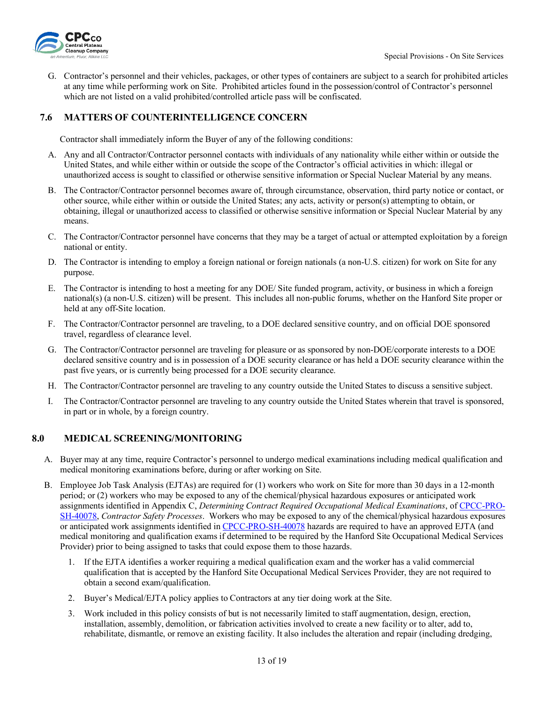

G. Contractor's personnel and their vehicles, packages, or other types of containers are subject to a search for prohibited articles at any time while performing work on Site. Prohibited articles found in the possession/control of Contractor's personnel which are not listed on a valid prohibited/controlled article pass will be confiscated.

## <span id="page-12-0"></span>**7.6 MATTERS OF COUNTERINTELLIGENCE CONCERN**

Contractor shall immediately inform the Buyer of any of the following conditions:

- A. Any and all Contractor/Contractor personnel contacts with individuals of any nationality while either within or outside the United States, and while either within or outside the scope of the Contractor's official activities in which: illegal or unauthorized access is sought to classified or otherwise sensitive information or Special Nuclear Material by any means.
- B. The Contractor/Contractor personnel becomes aware of, through circumstance, observation, third party notice or contact, or other source, while either within or outside the United States; any acts, activity or person(s) attempting to obtain, or obtaining, illegal or unauthorized access to classified or otherwise sensitive information or Special Nuclear Material by any means.
- C. The Contractor/Contractor personnel have concerns that they may be a target of actual or attempted exploitation by a foreign national or entity.
- D. The Contractor is intending to employ a foreign national or foreign nationals (a non-U.S. citizen) for work on Site for any purpose.
- E. The Contractor is intending to host a meeting for any DOE/ Site funded program, activity, or business in which a foreign national(s) (a non-U.S. citizen) will be present. This includes all non-public forums, whether on the Hanford Site proper or held at any off-Site location.
- F. The Contractor/Contractor personnel are traveling, to a DOE declared sensitive country, and on official DOE sponsored travel, regardless of clearance level.
- G. The Contractor/Contractor personnel are traveling for pleasure or as sponsored by non-DOE/corporate interests to a DOE declared sensitive country and is in possession of a DOE security clearance or has held a DOE security clearance within the past five years, or is currently being processed for a DOE security clearance.
- H. The Contractor/Contractor personnel are traveling to any country outside the United States to discuss a sensitive subject.
- I. The Contractor/Contractor personnel are traveling to any country outside the United States wherein that travel is sponsored, in part or in whole, by a foreign country.

### <span id="page-12-1"></span>**8.0 MEDICAL SCREENING/MONITORING**

- A. Buyer may at any time, require Contractor's personnel to undergo medical examinations including medical qualification and medical monitoring examinations before, during or after working on Site.
- B. Employee Job Task Analysis (EJTAs) are required for (1) workers who work on Site for more than 30 days in a 12-month period; or (2) workers who may be exposed to any of the chemical/physical hazardous exposures or anticipated work assignments identified in Appendix C, *Determining Contract Required Occupational Medical Examinations*, of [CPCC-PRO-](https://cpcco.hanford.gov/page.cfm/SafetyReferenceDocuments)[SH-40078,](https://cpcco.hanford.gov/page.cfm/SafetyReferenceDocuments) *Contractor Safety Processes*. Workers who may be exposed to any of the chemical/physical hazardous exposures or anticipated work assignments identified i[n CPCC-PRO-SH-40078](https://cpcco.hanford.gov/page.cfm/SafetyReferenceDocuments) hazards are required to have an approved EJTA (and medical monitoring and qualification exams if determined to be required by the Hanford Site Occupational Medical Services Provider) prior to being assigned to tasks that could expose them to those hazards.
	- 1. If the EJTA identifies a worker requiring a medical qualification exam and the worker has a valid commercial qualification that is accepted by the Hanford Site Occupational Medical Services Provider, they are not required to obtain a second exam/qualification.
	- 2. Buyer's Medical/EJTA policy applies to Contractors at any tier doing work at the Site.
	- 3. Work included in this policy consists of but is not necessarily limited to staff augmentation, design, erection, installation, assembly, demolition, or fabrication activities involved to create a new facility or to alter, add to, rehabilitate, dismantle, or remove an existing facility. It also includes the alteration and repair (including dredging,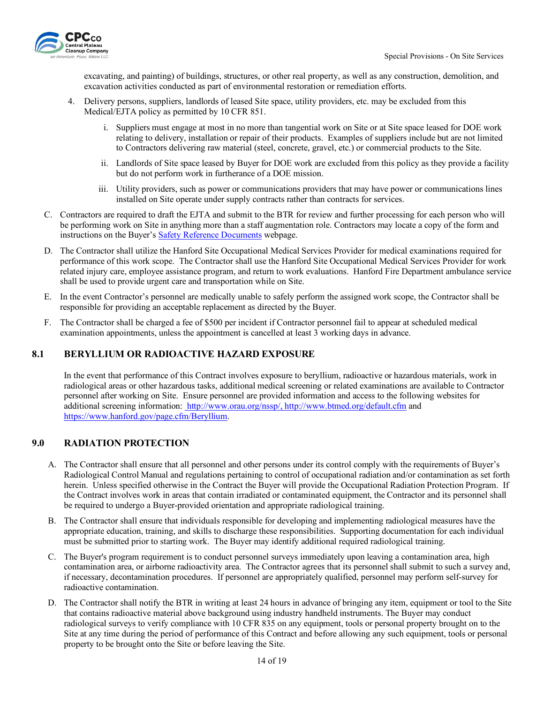

excavating, and painting) of buildings, structures, or other real property, as well as any construction, demolition, and excavation activities conducted as part of environmental restoration or remediation efforts.

- 4. Delivery persons, suppliers, landlords of leased Site space, utility providers, etc. may be excluded from this Medical/EJTA policy as permitted by 10 CFR 851.
	- i. Suppliers must engage at most in no more than tangential work on Site or at Site space leased for DOE work relating to delivery, installation or repair of their products. Examples of suppliers include but are not limited to Contractors delivering raw material (steel, concrete, gravel, etc.) or commercial products to the Site.
	- ii. Landlords of Site space leased by Buyer for DOE work are excluded from this policy as they provide a facility but do not perform work in furtherance of a DOE mission.
	- iii. Utility providers, such as power or communications providers that may have power or communications lines installed on Site operate under supply contracts rather than contracts for services.
- C. Contractors are required to draft the EJTA and submit to the BTR for review and further processing for each person who will be performing work on Site in anything more than a staff augmentation role. Contractors may locate a copy of the form and instructions on the Buyer's [Safety Reference Documents](https://cpcco.hanford.gov/page.cfm/SafetyReferenceDocuments) webpage.
- D. The Contractor shall utilize the Hanford Site Occupational Medical Services Provider for medical examinations required for performance of this work scope. The Contractor shall use the Hanford Site Occupational Medical Services Provider for work related injury care, employee assistance program, and return to work evaluations. Hanford Fire Department ambulance service shall be used to provide urgent care and transportation while on Site.
- E. In the event Contractor's personnel are medically unable to safely perform the assigned work scope, the Contractor shall be responsible for providing an acceptable replacement as directed by the Buyer.
- F. The Contractor shall be charged a fee of \$500 per incident if Contractor personnel fail to appear at scheduled medical examination appointments, unless the appointment is cancelled at least 3 working days in advance.

## <span id="page-13-0"></span>**8.1 BERYLLIUM OR RADIOACTIVE HAZARD EXPOSURE**

In the event that performance of this Contract involves exposure to beryllium, radioactive or hazardous materials, work in radiological areas or other hazardous tasks, additional medical screening or related examinations are available to Contractor personnel after working on Site. Ensure personnel are provided information and access to the following websites for additional screening information: [http://www.orau.org/nssp/,](http://www.orau.org/nssp/)<http://www.btmed.org/default.cfm> and [https://www.hanford.gov/page.cfm/Beryllium.](https://www.hanford.gov/page.cfm/Beryllium)

### <span id="page-13-1"></span>**9.0 RADIATION PROTECTION**

- A. The Contractor shall ensure that all personnel and other persons under its control comply with the requirements of Buyer's Radiological Control Manual and regulations pertaining to control of occupational radiation and/or contamination as set forth herein. Unless specified otherwise in the Contract the Buyer will provide the Occupational Radiation Protection Program. If the Contract involves work in areas that contain irradiated or contaminated equipment, the Contractor and its personnel shall be required to undergo a Buyer-provided orientation and appropriate radiological training.
- B. The Contractor shall ensure that individuals responsible for developing and implementing radiological measures have the appropriate education, training, and skills to discharge these responsibilities. Supporting documentation for each individual must be submitted prior to starting work. The Buyer may identify additional required radiological training.
- C. The Buyer's program requirement is to conduct personnel surveys immediately upon leaving a contamination area, high contamination area, or airborne radioactivity area. The Contractor agrees that its personnel shall submit to such a survey and, if necessary, decontamination procedures. If personnel are appropriately qualified, personnel may perform self-survey for radioactive contamination.
- D. The Contractor shall notify the BTR in writing at least 24 hours in advance of bringing any item, equipment or tool to the Site that contains radioactive material above background using industry handheld instruments. The Buyer may conduct radiological surveys to verify compliance with 10 CFR 835 on any equipment, tools or personal property brought on to the Site at any time during the period of performance of this Contract and before allowing any such equipment, tools or personal property to be brought onto the Site or before leaving the Site.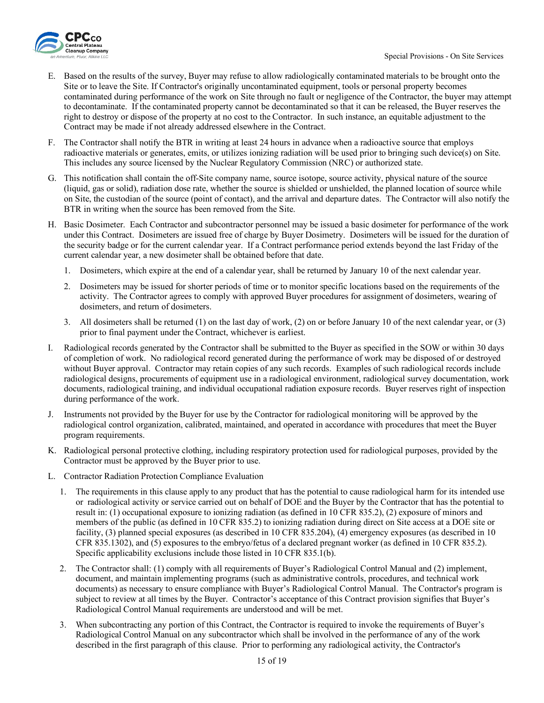

- E. Based on the results of the survey, Buyer may refuse to allow radiologically contaminated materials to be brought onto the Site or to leave the Site. If Contractor's originally uncontaminated equipment, tools or personal property becomes contaminated during performance of the work on Site through no fault or negligence of the Contractor, the buyer may attempt to decontaminate. If the contaminated property cannot be decontaminated so that it can be released, the Buyer reserves the right to destroy or dispose of the property at no cost to the Contractor. In such instance, an equitable adjustment to the Contract may be made if not already addressed elsewhere in the Contract.
- F. The Contractor shall notify the BTR in writing at least 24 hours in advance when a radioactive source that employs radioactive materials or generates, emits, or utilizes ionizing radiation will be used prior to bringing such device(s) on Site. This includes any source licensed by the Nuclear Regulatory Commission (NRC) or authorized state.
- G. This notification shall contain the off-Site company name, source isotope, source activity, physical nature of the source (liquid, gas or solid), radiation dose rate, whether the source is shielded or unshielded, the planned location of source while on Site, the custodian of the source (point of contact), and the arrival and departure dates. The Contractor will also notify the BTR in writing when the source has been removed from the Site.
- H. Basic Dosimeter. Each Contractor and subcontractor personnel may be issued a basic dosimeter for performance of the work under this Contract. Dosimeters are issued free of charge by Buyer Dosimetry. Dosimeters will be issued for the duration of the security badge or for the current calendar year. If a Contract performance period extends beyond the last Friday of the current calendar year, a new dosimeter shall be obtained before that date.
	- 1. Dosimeters, which expire at the end of a calendar year, shall be returned by January 10 of the next calendar year.
	- 2. Dosimeters may be issued for shorter periods of time or to monitor specific locations based on the requirements of the activity. The Contractor agrees to comply with approved Buyer procedures for assignment of dosimeters, wearing of dosimeters, and return of dosimeters.
	- 3. All dosimeters shall be returned (1) on the last day of work, (2) on or before January 10 of the next calendar year, or (3) prior to final payment under the Contract, whichever is earliest.
- I. Radiological records generated by the Contractor shall be submitted to the Buyer as specified in the SOW or within 30 days of completion of work. No radiological record generated during the performance of work may be disposed of or destroyed without Buyer approval. Contractor may retain copies of any such records. Examples of such radiological records include radiological designs, procurements of equipment use in a radiological environment, radiological survey documentation, work documents, radiological training, and individual occupational radiation exposure records. Buyer reserves right of inspection during performance of the work.
- J. Instruments not provided by the Buyer for use by the Contractor for radiological monitoring will be approved by the radiological control organization, calibrated, maintained, and operated in accordance with procedures that meet the Buyer program requirements.
- K. Radiological personal protective clothing, including respiratory protection used for radiological purposes, provided by the Contractor must be approved by the Buyer prior to use.
- L. Contractor Radiation Protection Compliance Evaluation
	- 1. The requirements in this clause apply to any product that has the potential to cause radiological harm for its intended use or radiological activity or service carried out on behalf of DOE and the Buyer by the Contractor that has the potential to result in: (1) occupational exposure to ionizing radiation (as defined in 10 CFR 835.2), (2) exposure of minors and members of the public (as defined in 10 CFR 835.2) to ionizing radiation during direct on Site access at a DOE site or facility, (3) planned special exposures (as described in 10 CFR 835.204), (4) emergency exposures (as described in 10 CFR 835.1302), and (5) exposures to the embryo/fetus of a declared pregnant worker (as defined in 10 CFR 835.2). Specific applicability exclusions include those listed in 10 CFR 835.1(b).
	- 2. The Contractor shall: (1) comply with all requirements of Buyer's Radiological Control Manual and (2) implement, document, and maintain implementing programs (such as administrative controls, procedures, and technical work documents) as necessary to ensure compliance with Buyer's Radiological Control Manual. The Contractor's program is subject to review at all times by the Buyer. Contractor's acceptance of this Contract provision signifies that Buyer's Radiological Control Manual requirements are understood and will be met.
	- 3. When subcontracting any portion of this Contract, the Contractor is required to invoke the requirements of Buyer's Radiological Control Manual on any subcontractor which shall be involved in the performance of any of the work described in the first paragraph of this clause. Prior to performing any radiological activity, the Contractor's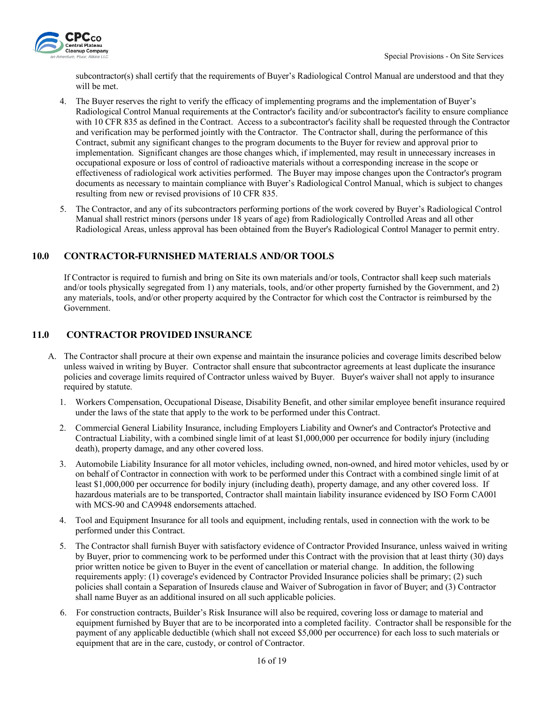

subcontractor(s) shall certify that the requirements of Buyer's Radiological Control Manual are understood and that they will be met.

- 4. The Buyer reserves the right to verify the efficacy of implementing programs and the implementation of Buyer's Radiological Control Manual requirements at the Contractor's facility and/or subcontractor's facility to ensure compliance with 10 CFR 835 as defined in the Contract. Access to a subcontractor's facility shall be requested through the Contractor and verification may be performed jointly with the Contractor. The Contractor shall, during the performance of this Contract, submit any significant changes to the program documents to the Buyer for review and approval prior to implementation. Significant changes are those changes which, if implemented, may result in unnecessary increases in occupational exposure or loss of control of radioactive materials without a corresponding increase in the scope or effectiveness of radiological work activities performed. The Buyer may impose changes upon the Contractor's program documents as necessary to maintain compliance with Buyer's Radiological Control Manual, which is subject to changes resulting from new or revised provisions of 10 CFR 835.
- 5. The Contractor, and any of its subcontractors performing portions of the work covered by Buyer's Radiological Control Manual shall restrict minors (persons under 18 years of age) from Radiologically Controlled Areas and all other Radiological Areas, unless approval has been obtained from the Buyer's Radiological Control Manager to permit entry.

## <span id="page-15-0"></span>**10.0 CONTRACTOR-FURNISHED MATERIALS AND/OR TOOLS**

If Contractor is required to furnish and bring on Site its own materials and/or tools, Contractor shall keep such materials and/or tools physically segregated from 1) any materials, tools, and/or other property furnished by the Government, and 2) any materials, tools, and/or other property acquired by the Contractor for which cost the Contractor is reimbursed by the Government.

## <span id="page-15-1"></span>**11.0 CONTRACTOR PROVIDED INSURANCE**

- A. The Contractor shall procure at their own expense and maintain the insurance policies and coverage limits described below unless waived in writing by Buyer. Contractor shall ensure that subcontractor agreements at least duplicate the insurance policies and coverage limits required of Contractor unless waived by Buyer. Buyer's waiver shall not apply to insurance required by statute.
	- 1. Workers Compensation, Occupational Disease, Disability Benefit, and other similar employee benefit insurance required under the laws of the state that apply to the work to be performed under this Contract.
	- 2. Commercial General Liability Insurance, including Employers Liability and Owner's and Contractor's Protective and Contractual Liability, with a combined single limit of at least \$1,000,000 per occurrence for bodily injury (including death), property damage, and any other covered loss.
	- 3. Automobile Liability Insurance for all motor vehicles, including owned, non-owned, and hired motor vehicles, used by or on behalf of Contractor in connection with work to be performed under this Contract with a combined single limit of at least \$1,000,000 per occurrence for bodily injury (including death), property damage, and any other covered loss. If hazardous materials are to be transported, Contractor shall maintain liability insurance evidenced by ISO Form CA001 with MCS-90 and CA9948 endorsements attached.
	- 4. Tool and Equipment Insurance for all tools and equipment, including rentals, used in connection with the work to be performed under this Contract.
	- 5. The Contractor shall furnish Buyer with satisfactory evidence of Contractor Provided Insurance, unless waived in writing by Buyer, prior to commencing work to be performed under this Contract with the provision that at least thirty (30) days prior written notice be given to Buyer in the event of cancellation or material change. In addition, the following requirements apply: (1) coverage's evidenced by Contractor Provided Insurance policies shall be primary; (2) such policies shall contain a Separation of Insureds clause and Waiver of Subrogation in favor of Buyer; and (3) Contractor shall name Buyer as an additional insured on all such applicable policies.
	- 6. For construction contracts, Builder's Risk Insurance will also be required, covering loss or damage to material and equipment furnished by Buyer that are to be incorporated into a completed facility. Contractor shall be responsible for the payment of any applicable deductible (which shall not exceed \$5,000 per occurrence) for each loss to such materials or equipment that are in the care, custody, or control of Contractor.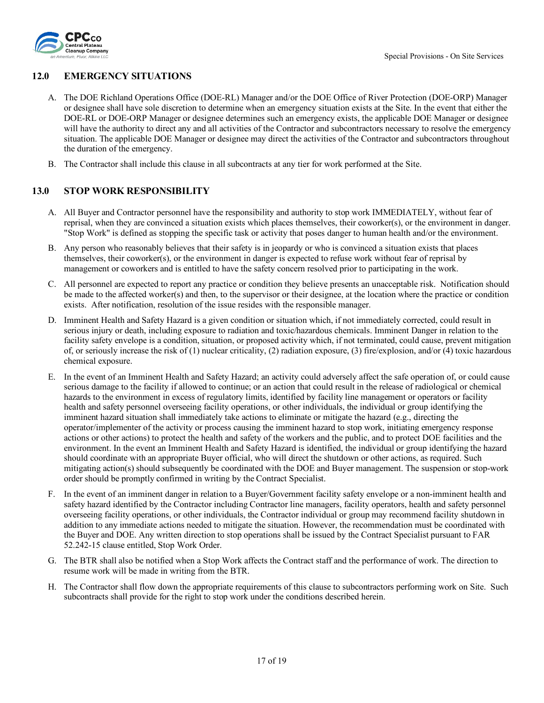

### <span id="page-16-0"></span>**12.0 EMERGENCY SITUATIONS**

- A. The DOE Richland Operations Office (DOE-RL) Manager and/or the DOE Office of River Protection (DOE-ORP) Manager or designee shall have sole discretion to determine when an emergency situation exists at the Site. In the event that either the DOE-RL or DOE-ORP Manager or designee determines such an emergency exists, the applicable DOE Manager or designee will have the authority to direct any and all activities of the Contractor and subcontractors necessary to resolve the emergency situation. The applicable DOE Manager or designee may direct the activities of the Contractor and subcontractors throughout the duration of the emergency.
- B. The Contractor shall include this clause in all subcontracts at any tier for work performed at the Site.

### <span id="page-16-1"></span>**13.0 STOP WORK RESPONSIBILITY**

- A. All Buyer and Contractor personnel have the responsibility and authority to stop work IMMEDIATELY, without fear of reprisal, when they are convinced a situation exists which places themselves, their coworker(s), or the environment in danger. "Stop Work" is defined as stopping the specific task or activity that poses danger to human health and/or the environment.
- B. Any person who reasonably believes that their safety is in jeopardy or who is convinced a situation exists that places themselves, their coworker(s), or the environment in danger is expected to refuse work without fear of reprisal by management or coworkers and is entitled to have the safety concern resolved prior to participating in the work.
- C. All personnel are expected to report any practice or condition they believe presents an unacceptable risk. Notification should be made to the affected worker(s) and then, to the supervisor or their designee, at the location where the practice or condition exists. After notification, resolution of the issue resides with the responsible manager.
- D. Imminent Health and Safety Hazard is a given condition or situation which, if not immediately corrected, could result in serious injury or death, including exposure to radiation and toxic/hazardous chemicals. Imminent Danger in relation to the facility safety envelope is a condition, situation, or proposed activity which, if not terminated, could cause, prevent mitigation of, or seriously increase the risk of (1) nuclear criticality, (2) radiation exposure, (3) fire/explosion, and/or (4) toxic hazardous chemical exposure.
- E. In the event of an Imminent Health and Safety Hazard; an activity could adversely affect the safe operation of, or could cause serious damage to the facility if allowed to continue; or an action that could result in the release of radiological or chemical hazards to the environment in excess of regulatory limits, identified by facility line management or operators or facility health and safety personnel overseeing facility operations, or other individuals, the individual or group identifying the imminent hazard situation shall immediately take actions to eliminate or mitigate the hazard (e.g., directing the operator/implementer of the activity or process causing the imminent hazard to stop work, initiating emergency response actions or other actions) to protect the health and safety of the workers and the public, and to protect DOE facilities and the environment. In the event an Imminent Health and Safety Hazard is identified, the individual or group identifying the hazard should coordinate with an appropriate Buyer official, who will direct the shutdown or other actions, as required. Such mitigating action(s) should subsequently be coordinated with the DOE and Buyer management. The suspension or stop-work order should be promptly confirmed in writing by the Contract Specialist.
- F. In the event of an imminent danger in relation to a Buyer/Government facility safety envelope or a non-imminent health and safety hazard identified by the Contractor including Contractor line managers, facility operators, health and safety personnel overseeing facility operations, or other individuals, the Contractor individual or group may recommend facility shutdown in addition to any immediate actions needed to mitigate the situation. However, the recommendation must be coordinated with the Buyer and DOE. Any written direction to stop operations shall be issued by the Contract Specialist pursuant to FAR 52.242-15 clause entitled, Stop Work Order.
- G. The BTR shall also be notified when a Stop Work affects the Contract staff and the performance of work. The direction to resume work will be made in writing from the BTR.
- H. The Contractor shall flow down the appropriate requirements of this clause to subcontractors performing work on Site. Such subcontracts shall provide for the right to stop work under the conditions described herein.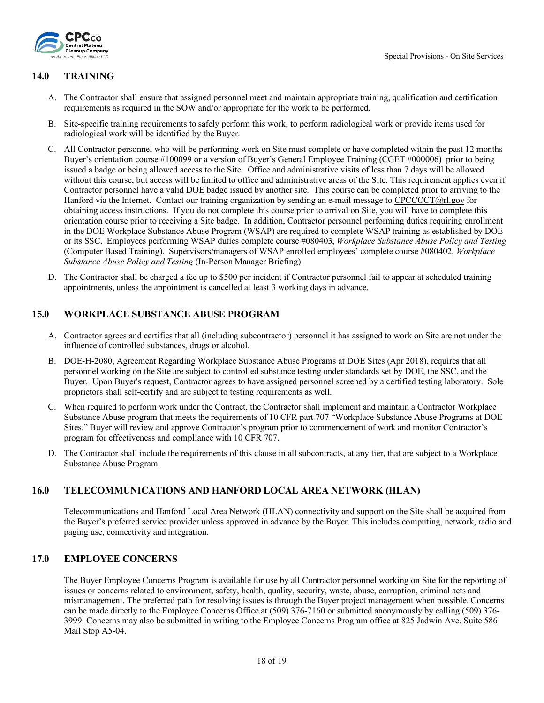

#### <span id="page-17-0"></span>**14.0 TRAINING**

- A. The Contractor shall ensure that assigned personnel meet and maintain appropriate training, qualification and certification requirements as required in the SOW and/or appropriate for the work to be performed.
- B. Site-specific training requirements to safely perform this work, to perform radiological work or provide items used for radiological work will be identified by the Buyer.
- C. All Contractor personnel who will be performing work on Site must complete or have completed within the past 12 months Buyer's orientation course #100099 or a version of Buyer's General Employee Training (CGET #000006) prior to being issued a badge or being allowed access to the Site. Office and administrative visits of less than 7 days will be allowed without this course, but access will be limited to office and administrative areas of the Site. This requirement applies even if Contractor personnel have a valid DOE badge issued by another site. This course can be completed prior to arriving to the Hanford via the Internet. Contact our training organization by sending an e-mail message to [CPCCOCT@rl.gov](mailto:eHanford@rl.gov) for obtaining access instructions. If you do not complete this course prior to arrival on Site, you will have to complete this orientation course prior to receiving a Site badge. In addition, Contractor personnel performing duties requiring enrollment in the DOE Workplace Substance Abuse Program (WSAP) are required to complete WSAP training as established by DOE or its SSC. Employees performing WSAP duties complete course #080403, *Workplace Substance Abuse Policy and Testing* (Computer Based Training). Supervisors/managers of WSAP enrolled employees' complete course #080402, *Workplace Substance Abuse Policy and Testing* (In-Person Manager Briefing).
- D. The Contractor shall be charged a fee up to \$500 per incident if Contractor personnel fail to appear at scheduled training appointments, unless the appointment is cancelled at least 3 working days in advance.

#### <span id="page-17-1"></span>**15.0 WORKPLACE SUBSTANCE ABUSE PROGRAM**

- A. Contractor agrees and certifies that all (including subcontractor) personnel it has assigned to work on Site are not under the influence of controlled substances, drugs or alcohol.
- B. DOE-H-2080, Agreement Regarding Workplace Substance Abuse Programs at DOE Sites (Apr 2018), requires that all personnel working on the Site are subject to controlled substance testing under standards set by DOE, the SSC, and the Buyer. Upon Buyer's request, Contractor agrees to have assigned personnel screened by a certified testing laboratory. Sole proprietors shall self-certify and are subject to testing requirements as well.
- C. When required to perform work under the Contract, the Contractor shall implement and maintain a Contractor Workplace Substance Abuse program that meets the requirements of 10 CFR part 707 "Workplace Substance Abuse Programs at DOE Sites." Buyer will review and approve Contractor's program prior to commencement of work and monitor Contractor's program for effectiveness and compliance with 10 CFR 707.
- D. The Contractor shall include the requirements of this clause in all subcontracts, at any tier, that are subject to a Workplace Substance Abuse Program.

### <span id="page-17-2"></span>**16.0 TELECOMMUNICATIONS AND HANFORD LOCAL AREA NETWORK (HLAN)**

Telecommunications and Hanford Local Area Network (HLAN) connectivity and support on the Site shall be acquired from the Buyer's preferred service provider unless approved in advance by the Buyer. This includes computing, network, radio and paging use, connectivity and integration.

#### <span id="page-17-3"></span>**17.0 EMPLOYEE CONCERNS**

The Buyer Employee Concerns Program is available for use by all Contractor personnel working on Site for the reporting of issues or concerns related to environment, safety, health, quality, security, waste, abuse, corruption, criminal acts and mismanagement. The preferred path for resolving issues is through the Buyer project management when possible. Concerns can be made directly to the Employee Concerns Office at (509) 376-7160 or submitted anonymously by calling (509) 376- 3999. Concerns may also be submitted in writing to the Employee Concerns Program office at 825 Jadwin Ave. Suite 586 Mail Stop A5-04.